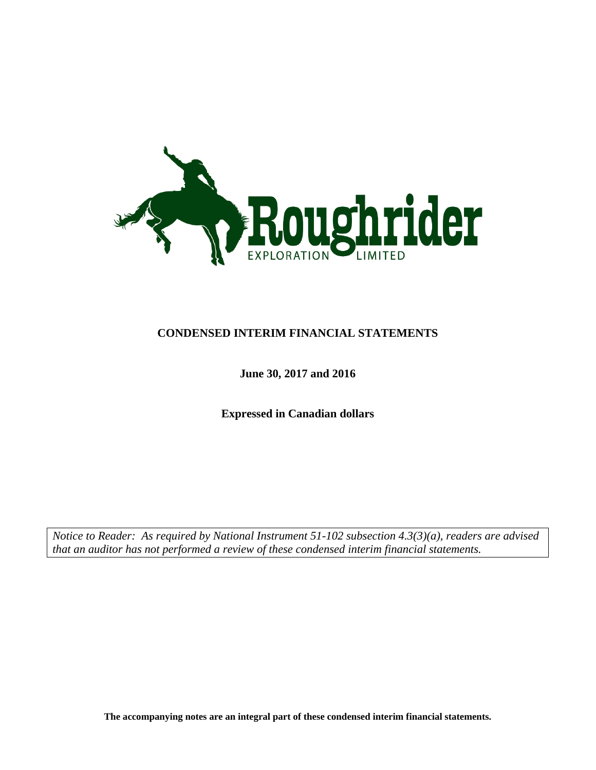

### **CONDENSED INTERIM FINANCIAL STATEMENTS**

### **June 30, 2017 and 2016**

**Expressed in Canadian dollars**

*Notice to Reader: As required by National Instrument 51-102 subsection 4.3(3)(a), readers are advised that an auditor has not performed a review of these condensed interim financial statements.*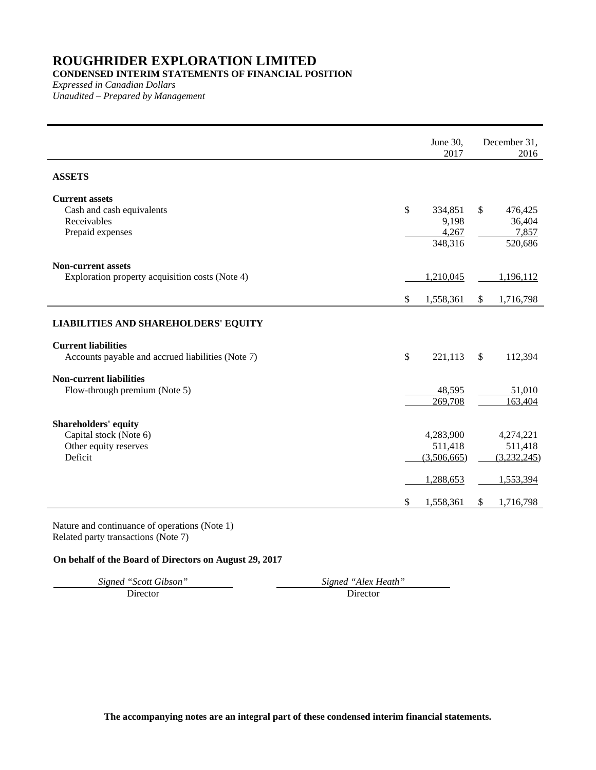### **CONDENSED INTERIM STATEMENTS OF FINANCIAL POSITION**

*Expressed in Canadian Dollars Unaudited – Prepared by Management*

|                                                                                           | June 30,<br>2017                                 |              | December 31,<br>2016                             |
|-------------------------------------------------------------------------------------------|--------------------------------------------------|--------------|--------------------------------------------------|
| <b>ASSETS</b>                                                                             |                                                  |              |                                                  |
| <b>Current assets</b><br>Cash and cash equivalents<br>Receivables<br>Prepaid expenses     | \$<br>334,851<br>9,198<br>4,267<br>348,316       | $\mathbb{S}$ | 476,425<br>36,404<br>7,857<br>520,686            |
| <b>Non-current assets</b><br>Exploration property acquisition costs (Note 4)              | \$<br>1,210,045<br>1,558,361                     | \$           | 1,196,112<br>1,716,798                           |
| <b>LIABILITIES AND SHAREHOLDERS' EQUITY</b>                                               |                                                  |              |                                                  |
| <b>Current liabilities</b><br>Accounts payable and accrued liabilities (Note 7)           | \$<br>221,113                                    | $\mathbb{S}$ | 112,394                                          |
| <b>Non-current liabilities</b><br>Flow-through premium (Note 5)                           | 48,595<br>269,708                                |              | 51,010<br>163,404                                |
| <b>Shareholders' equity</b><br>Capital stock (Note 6)<br>Other equity reserves<br>Deficit | 4,283,900<br>511,418<br>(3,506,665)<br>1,288,653 |              | 4,274,221<br>511,418<br>(3,232,245)<br>1,553,394 |
|                                                                                           | \$<br>1,558,361                                  | \$           | 1,716,798                                        |

Nature and continuance of operations (Note 1) Related party transactions (Note 7)

#### **On behalf of the Board of Directors on August 29, 2017**

*Signed "Scott Gibson" Signed "Alex Heath"* Director Director Director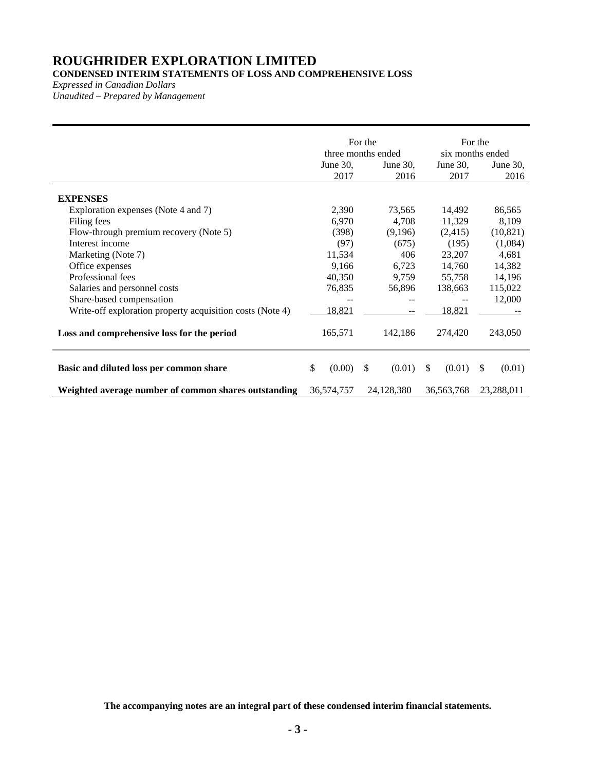### **CONDENSED INTERIM STATEMENTS OF LOSS AND COMPREHENSIVE LOSS**

*Expressed in Canadian Dollars*

*Unaudited – Prepared by Management*

|                                                           | three months ended<br>June 30,<br>2017 | For the | June 30,<br>2016 |              | six months ended<br>June $30$ .<br>2017 | For the | June $30$ ,<br>2016 |
|-----------------------------------------------------------|----------------------------------------|---------|------------------|--------------|-----------------------------------------|---------|---------------------|
| <b>EXPENSES</b><br>Exploration expenses (Note 4 and 7)    | 2,390                                  |         | 73,565           |              | 14,492                                  |         | 86,565              |
| Filing fees                                               | 6,970                                  |         | 4,708            |              | 11,329                                  |         | 8,109               |
| Flow-through premium recovery (Note 5)                    | (398)                                  |         | (9,196)          |              | (2,415)                                 |         | (10, 821)           |
| Interest income                                           | (97)                                   |         | (675)            |              | (195)                                   |         | (1,084)             |
| Marketing (Note 7)                                        | 11,534                                 |         | 406              |              | 23,207                                  |         | 4,681               |
| Office expenses                                           | 9,166                                  |         | 6,723            |              | 14,760                                  |         | 14,382              |
| Professional fees                                         | 40,350                                 |         | 9,759            |              | 55,758                                  |         | 14,196              |
| Salaries and personnel costs                              | 76,835                                 |         | 56,896           |              | 138,663                                 |         | 115,022             |
| Share-based compensation                                  |                                        |         |                  |              |                                         |         | 12,000              |
| Write-off exploration property acquisition costs (Note 4) | 18,821                                 |         |                  |              | 18,821                                  |         |                     |
| Loss and comprehensive loss for the period                | 165,571                                |         | 142,186          |              | 274,420                                 |         | 243,050             |
| Basic and diluted loss per common share                   | \$<br>(0.00)                           | \$      | (0.01)           | $\mathbb{S}$ | (0.01)                                  | \$      | (0.01)              |
| Weighted average number of common shares outstanding      | 36,574,757                             |         | 24,128,380       |              | 36,563,768                              |         | 23,288,011          |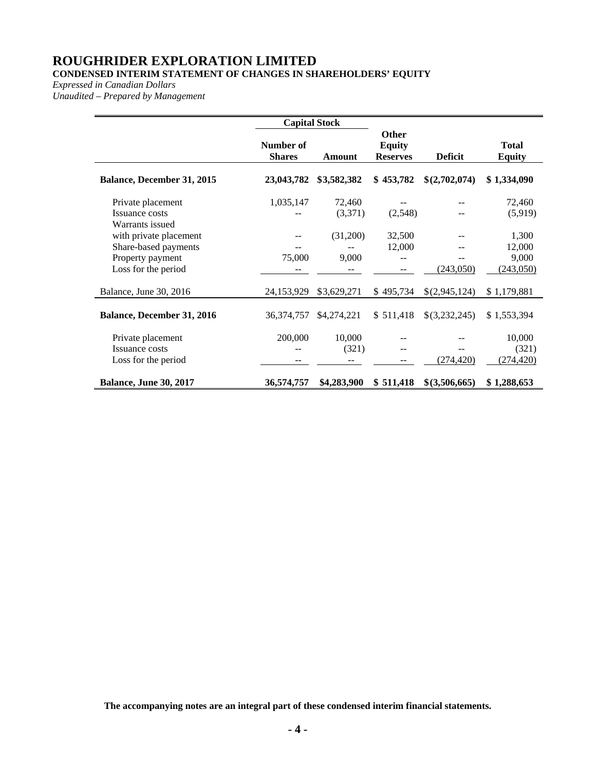### **CONDENSED INTERIM STATEMENT OF CHANGES IN SHAREHOLDERS' EQUITY**

*Expressed in Canadian Dollars*

*Unaudited – Prepared by Management*

|                                                            |                            | <b>Capital Stock</b> |                                                  |                |                               |
|------------------------------------------------------------|----------------------------|----------------------|--------------------------------------------------|----------------|-------------------------------|
|                                                            | Number of<br><b>Shares</b> | Amount               | <b>Other</b><br><b>Equity</b><br><b>Reserves</b> | <b>Deficit</b> | <b>Total</b><br><b>Equity</b> |
| <b>Balance, December 31, 2015</b>                          | 23,043,782                 | \$3,582,382          | \$453,782                                        | \$(2,702,074)  | \$1,334,090                   |
| Private placement<br>Issuance costs<br>Warrants issued     | 1,035,147                  | 72,460<br>(3,371)    | (2,548)                                          |                | 72,460<br>(5,919)             |
| with private placement<br>Share-based payments             |                            | (31,200)             | 32,500<br>12,000                                 |                | 1,300<br>12,000               |
| Property payment<br>Loss for the period                    | 75,000                     | 9,000                | --                                               | (243,050)      | 9,000<br>(243,050)            |
| Balance, June 30, 2016                                     | 24, 153, 929               | \$3,629,271          | \$495,734                                        | \$(2,945,124)  | \$1,179,881                   |
| Balance, December 31, 2016                                 | 36, 374, 757               | \$4,274,221          | \$511,418                                        | \$(3,232,245)  | \$1,553,394                   |
| Private placement<br>Issuance costs<br>Loss for the period | 200,000                    | 10,000<br>(321)      |                                                  | (274, 420)     | 10,000<br>(321)<br>(274, 420) |
| <b>Balance, June 30, 2017</b>                              | 36,574,757                 | \$4,283,900          | \$511,418                                        | \$(3,506,665)  | \$1,288,653                   |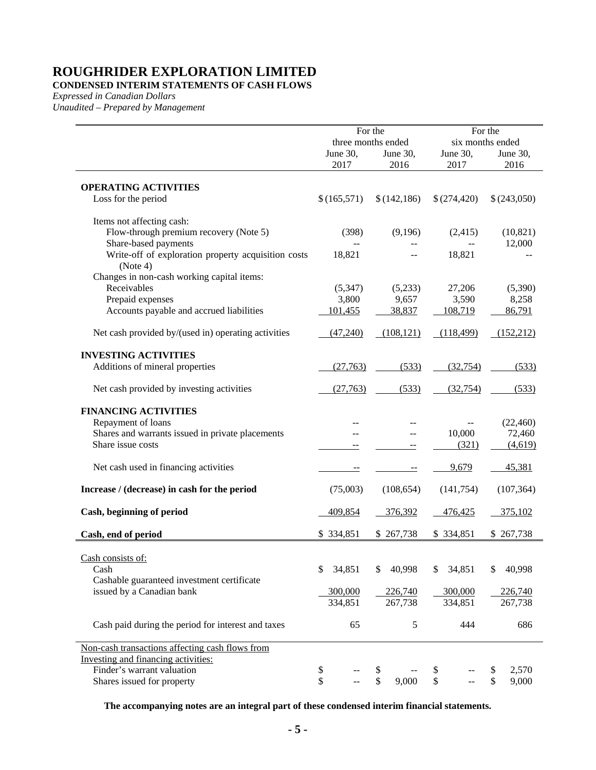### **CONDENSED INTERIM STATEMENTS OF CASH FLOWS**

*Expressed in Canadian Dollars*

*Unaudited – Prepared by Management*

|                                                                 |              | For the            |                     | For the          |
|-----------------------------------------------------------------|--------------|--------------------|---------------------|------------------|
|                                                                 |              | three months ended |                     | six months ended |
|                                                                 | June 30,     | June 30,           | June 30,            | June 30,         |
|                                                                 | 2017         | 2016               | 2017                | 2016             |
| <b>OPERATING ACTIVITIES</b>                                     |              |                    |                     |                  |
| Loss for the period                                             | \$(165,571)  | \$(142, 186)       | \$(274,420)         | \$(243,050)      |
| Items not affecting cash:                                       |              |                    |                     |                  |
| Flow-through premium recovery (Note 5)                          | (398)        | (9,196)            | (2,415)             | (10, 821)        |
| Share-based payments                                            |              |                    |                     | 12,000           |
| Write-off of exploration property acquisition costs<br>(Note 4) | 18,821       |                    | 18,821              |                  |
| Changes in non-cash working capital items:                      |              |                    |                     |                  |
| Receivables                                                     | (5, 347)     | (5,233)            | 27,206              | (5,390)          |
| Prepaid expenses                                                | 3,800        | 9,657              | 3,590               | 8,258            |
| Accounts payable and accrued liabilities                        | 101,455      | 38,837             | 108,719             | 86,791           |
| Net cash provided by/(used in) operating activities             | (47,240)     | (108, 121)         | (118, 499)          | (152, 212)       |
| <b>INVESTING ACTIVITIES</b>                                     |              |                    |                     |                  |
| Additions of mineral properties                                 | (27,763)     | (533)              | (32, 754)           | (533)            |
| Net cash provided by investing activities                       | (27,763)     | (533)              | (32, 754)           | (533)            |
| <b>FINANCING ACTIVITIES</b>                                     |              |                    |                     |                  |
| Repayment of loans                                              |              |                    |                     | (22, 460)        |
| Shares and warrants issued in private placements                |              |                    | 10,000              | 72,460           |
| Share issue costs                                               |              | $- \, -$           | (321)               | (4,619)          |
| Net cash used in financing activities                           | $-$          |                    | 9,679               | 45,381           |
| Increase / (decrease) in cash for the period                    | (75,003)     | (108, 654)         | (141, 754)          | (107, 364)       |
| Cash, beginning of period                                       | 409,854      | 376,392            | 476,425             | 375,102          |
| Cash, end of period                                             | \$334,851    | \$267,738          | \$334,851           | \$267,738        |
|                                                                 |              |                    |                     |                  |
| Cash consists of:                                               |              |                    |                     |                  |
| Cash                                                            | 34,851<br>\$ | \$<br>40,998       | 34,851<br>\$        | 40,998<br>\$     |
| Cashable guaranteed investment certificate                      |              |                    |                     |                  |
| issued by a Canadian bank                                       | 300,000      | 226,740            | 300,000             | 226,740          |
|                                                                 | 334,851      | 267,738            | 334,851             | 267,738          |
| Cash paid during the period for interest and taxes              | 65           | 5                  | 444                 | 686              |
| Non-cash transactions affecting cash flows from                 |              |                    |                     |                  |
| Investing and financing activities:                             |              |                    |                     |                  |
| Finder's warrant valuation                                      | \$           | \$                 | \$                  | 2,570<br>\$      |
| Shares issued for property                                      | \$           | \$<br>9,000        | $\hat{\mathcal{L}}$ | \$<br>9,000      |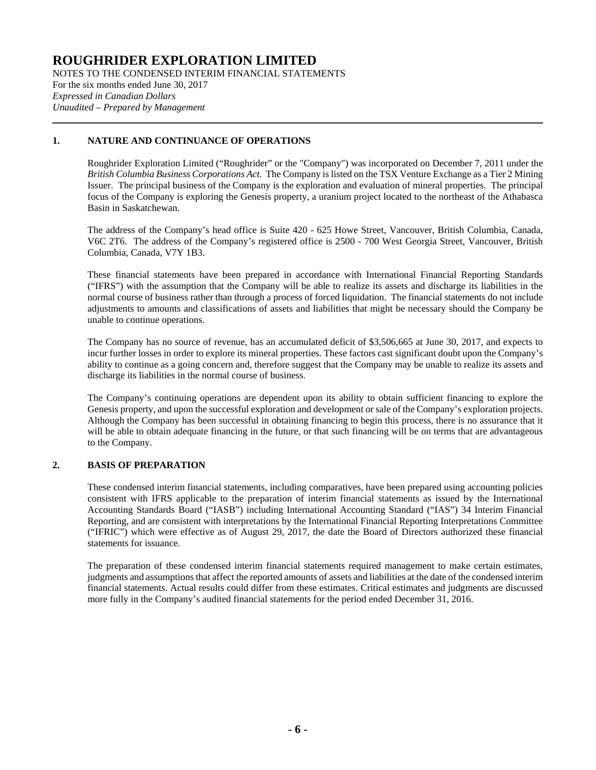NOTES TO THE CONDENSED INTERIM FINANCIAL STATEMENTS For the six months ended June 30, 2017 *Expressed in Canadian Dollars Unaudited – Prepared by Management*

#### **1. NATURE AND CONTINUANCE OF OPERATIONS**

Roughrider Exploration Limited ("Roughrider" or the "Company") was incorporated on December 7, 2011 under the *British Columbia Business Corporations Act*. The Company is listed on the TSX Venture Exchange as a Tier 2 Mining Issuer. The principal business of the Company is the exploration and evaluation of mineral properties. The principal focus of the Company is exploring the Genesis property, a uranium project located to the northeast of the Athabasca Basin in Saskatchewan.

The address of the Company's head office is Suite 420 - 625 Howe Street, Vancouver, British Columbia, Canada, V6C 2T6. The address of the Company's registered office is 2500 - 700 West Georgia Street, Vancouver, British Columbia, Canada, V7Y 1B3.

These financial statements have been prepared in accordance with International Financial Reporting Standards ("IFRS") with the assumption that the Company will be able to realize its assets and discharge its liabilities in the normal course of business rather than through a process of forced liquidation. The financial statements do not include adjustments to amounts and classifications of assets and liabilities that might be necessary should the Company be unable to continue operations.

The Company has no source of revenue, has an accumulated deficit of \$3,506,665 at June 30, 2017, and expects to incur further losses in order to explore its mineral properties. These factors cast significant doubt upon the Company's ability to continue as a going concern and, therefore suggest that the Company may be unable to realize its assets and discharge its liabilities in the normal course of business.

The Company's continuing operations are dependent upon its ability to obtain sufficient financing to explore the Genesis property, and upon the successful exploration and development or sale of the Company's exploration projects. Although the Company has been successful in obtaining financing to begin this process, there is no assurance that it will be able to obtain adequate financing in the future, or that such financing will be on terms that are advantageous to the Company.

#### **2. BASIS OF PREPARATION**

These condensed interim financial statements, including comparatives, have been prepared using accounting policies consistent with IFRS applicable to the preparation of interim financial statements as issued by the International Accounting Standards Board ("IASB") including International Accounting Standard ("IAS") 34 Interim Financial Reporting, and are consistent with interpretations by the International Financial Reporting Interpretations Committee ("IFRIC") which were effective as of August 29, 2017, the date the Board of Directors authorized these financial statements for issuance.

The preparation of these condensed interim financial statements required management to make certain estimates, judgments and assumptions that affect the reported amounts of assets and liabilities at the date of the condensed interim financial statements. Actual results could differ from these estimates. Critical estimates and judgments are discussed more fully in the Company's audited financial statements for the period ended December 31, 2016.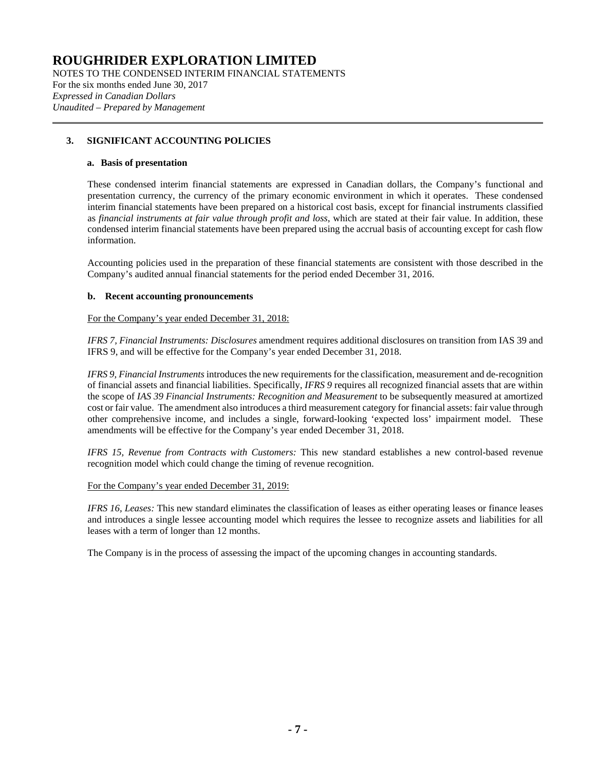NOTES TO THE CONDENSED INTERIM FINANCIAL STATEMENTS For the six months ended June 30, 2017 *Expressed in Canadian Dollars Unaudited – Prepared by Management*

#### **3. SIGNIFICANT ACCOUNTING POLICIES**

#### **a. Basis of presentation**

These condensed interim financial statements are expressed in Canadian dollars, the Company's functional and presentation currency, the currency of the primary economic environment in which it operates. These condensed interim financial statements have been prepared on a historical cost basis, except for financial instruments classified as *financial instruments at fair value through profit and loss*, which are stated at their fair value. In addition, these condensed interim financial statements have been prepared using the accrual basis of accounting except for cash flow information.

Accounting policies used in the preparation of these financial statements are consistent with those described in the Company's audited annual financial statements for the period ended December 31, 2016.

#### **b. Recent accounting pronouncements**

For the Company's year ended December 31, 2018:

*IFRS 7, Financial Instruments: Disclosures* amendment requires additional disclosures on transition from IAS 39 and IFRS 9, and will be effective for the Company's year ended December 31, 2018.

*IFRS 9, Financial Instruments* introduces the new requirements for the classification, measurement and de-recognition of financial assets and financial liabilities. Specifically, *IFRS 9* requires all recognized financial assets that are within the scope of *IAS 39 Financial Instruments: Recognition and Measurement* to be subsequently measured at amortized cost or fair value. The amendment also introduces a third measurement category for financial assets: fair value through other comprehensive income, and includes a single, forward-looking 'expected loss' impairment model. These amendments will be effective for the Company's year ended December 31, 2018.

*IFRS 15, Revenue from Contracts with Customers:* This new standard establishes a new control-based revenue recognition model which could change the timing of revenue recognition.

#### For the Company's year ended December 31, 2019:

*IFRS 16, Leases:* This new standard eliminates the classification of leases as either operating leases or finance leases and introduces a single lessee accounting model which requires the lessee to recognize assets and liabilities for all leases with a term of longer than 12 months.

The Company is in the process of assessing the impact of the upcoming changes in accounting standards.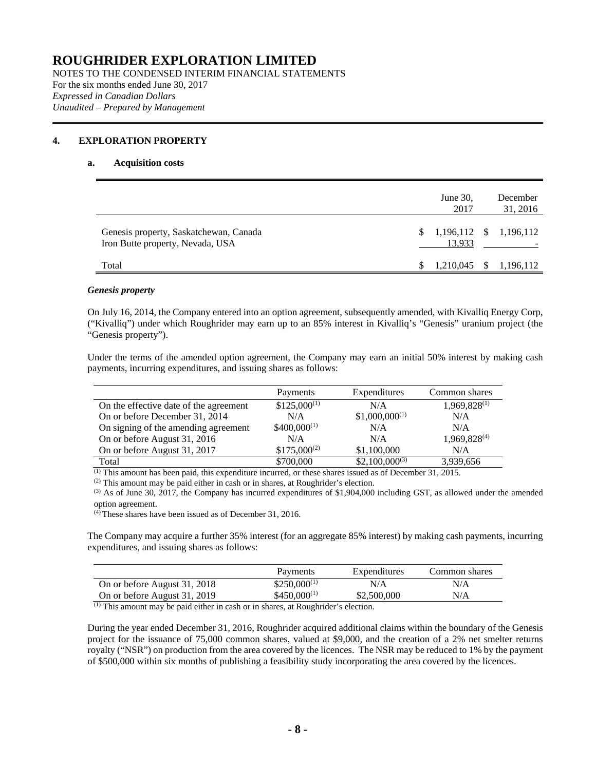NOTES TO THE CONDENSED INTERIM FINANCIAL STATEMENTS For the six months ended June 30, 2017 *Expressed in Canadian Dollars Unaudited – Prepared by Management*

#### <span id="page-7-0"></span>**4. EXPLORATION PROPERTY**

#### **a. Acquisition costs**

|                                                                            | June 30,<br>2017 |              | December<br>31, 2016         |
|----------------------------------------------------------------------------|------------------|--------------|------------------------------|
| Genesis property, Saskatchewan, Canada<br>Iron Butte property, Nevada, USA | \$.<br>13,933    |              | $1,196,112 \quad $1,196,112$ |
| Total                                                                      | 1,210,045        | <sup>S</sup> | 1,196,112                    |

#### *Genesis property*

On July 16, 2014, the Company entered into an option agreement, subsequently amended, with Kivalliq Energy Corp, ("Kivalliq") under which Roughrider may earn up to an 85% interest in Kivalliq's "Genesis" uranium project (the "Genesis property").

Under the terms of the amended option agreement, the Company may earn an initial 50% interest by making cash payments, incurring expenditures, and issuing shares as follows:

|                                        | Payments         | Expenditures       | Common shares            |
|----------------------------------------|------------------|--------------------|--------------------------|
| On the effective date of the agreement | $$125,000^{(1)}$ | N/A                | 1,969,828(1)             |
| On or before December 31, 2014         | N/A              | $$1,000,000^{(1)}$ | N/A                      |
| On signing of the amending agreement   | $$400,000^{(1)}$ | N/A                | N/A                      |
| On or before August 31, 2016           | N/A              | N/A                | 1,969,828 <sup>(4)</sup> |
| On or before August 31, 2017           | $$175,000^{(2)}$ | \$1,100,000        | N/A                      |
| Total                                  | \$700,000        | $$2,100,000^{(3)}$ | 3,939,656                |

 $<sup>(1)</sup>$  This amount has been paid, this expenditure incurred, or these shares issued as of December 31, 2015.</sup>

 $(2)$  This amount may be paid either in cash or in shares, at Roughrider's election.

 $^{(3)}$  As of June 30, 2017, the Company has incurred expenditures of \$1,904,000 including GST, as allowed under the amended option agreement.

 $(4)$  These shares have been issued as of December 31, 2016.

The Company may acquire a further 35% interest (for an aggregate 85% interest) by making cash payments, incurring expenditures, and issuing shares as follows:

|                              | Payments         | Expenditures | Common shares |
|------------------------------|------------------|--------------|---------------|
| On or before August 31, 2018 | $$250,000^{(1)}$ | N/A          | N/A           |
| On or before August 31, 2019 | $$450,000^{(1)}$ | \$2,500,000  | N/A           |

(1) This amount may be paid either in cash or in shares, at Roughrider's election.

During the year ended December 31, 2016, Roughrider acquired additional claims within the boundary of the Genesis project for the issuance of 75,000 common shares, valued at \$9,000, and the creation of a 2% net smelter returns royalty ("NSR") on production from the area covered by the licences. The NSR may be reduced to 1% by the payment of \$500,000 within six months of publishing a feasibility study incorporating the area covered by the licences.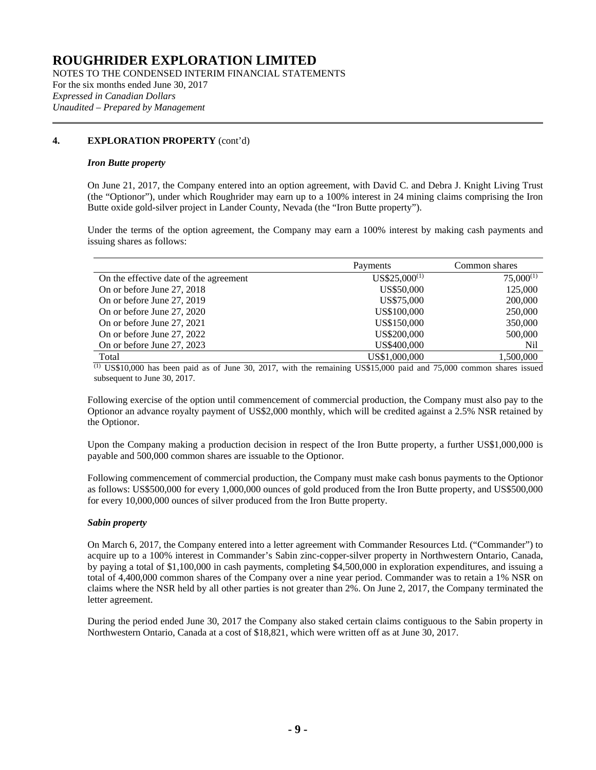NOTES TO THE CONDENSED INTERIM FINANCIAL STATEMENTS For the six months ended June 30, 2017 *Expressed in Canadian Dollars Unaudited – Prepared by Management*

#### **[4.](#page-7-0) EXPLORATION PROPERTY** (cont'd)

#### *Iron Butte property*

On June 21, 2017, the Company entered into an option agreement, with David C. and Debra J. Knight Living Trust (the "Optionor"), under which Roughrider may earn up to a 100% interest in 24 mining claims comprising the Iron Butte oxide gold-silver project in Lander County, Nevada (the "Iron Butte property").

Under the terms of the option agreement, the Company may earn a 100% interest by making cash payments and issuing shares as follows:

|                                        | Payments          | Common shares  |
|----------------------------------------|-------------------|----------------|
| On the effective date of the agreement | $US$25,000^{(1)}$ | $75,000^{(1)}$ |
| On or before June 27, 2018             | US\$50,000        | 125,000        |
| On or before June 27, 2019             | US\$75,000        | 200,000        |
| On or before June 27, 2020             | US\$100,000       | 250,000        |
| On or before June 27, 2021             | US\$150,000       | 350,000        |
| On or before June 27, 2022             | US\$200,000       | 500,000        |
| On or before June 27, 2023             | US\$400,000       | Nil            |
| Total                                  | US\$1,000,000     | 1.500.000      |

(1) US\$10,000 has been paid as of June 30, 2017, with the remaining US\$15,000 paid and 75,000 common shares issued subsequent to June 30, 2017.

Following exercise of the option until commencement of commercial production, the Company must also pay to the Optionor an advance royalty payment of US\$2,000 monthly, which will be credited against a 2.5% NSR retained by the Optionor.

Upon the Company making a production decision in respect of the Iron Butte property, a further US\$1,000,000 is payable and 500,000 common shares are issuable to the Optionor.

Following commencement of commercial production, the Company must make cash bonus payments to the Optionor as follows: US\$500,000 for every 1,000,000 ounces of gold produced from the Iron Butte property, and US\$500,000 for every 10,000,000 ounces of silver produced from the Iron Butte property.

#### *Sabin property*

On March 6, 2017, the Company entered into a letter agreement with Commander Resources Ltd. ("Commander") to acquire up to a 100% interest in Commander's Sabin zinc-copper-silver property in Northwestern Ontario, Canada, by paying a total of \$1,100,000 in cash payments, completing \$4,500,000 in exploration expenditures, and issuing a total of 4,400,000 common shares of the Company over a nine year period. Commander was to retain a 1% NSR on claims where the NSR held by all other parties is not greater than 2%. On June 2, 2017, the Company terminated the letter agreement.

During the period ended June 30, 2017 the Company also staked certain claims contiguous to the Sabin property in Northwestern Ontario, Canada at a cost of \$18,821, which were written off as at June 30, 2017.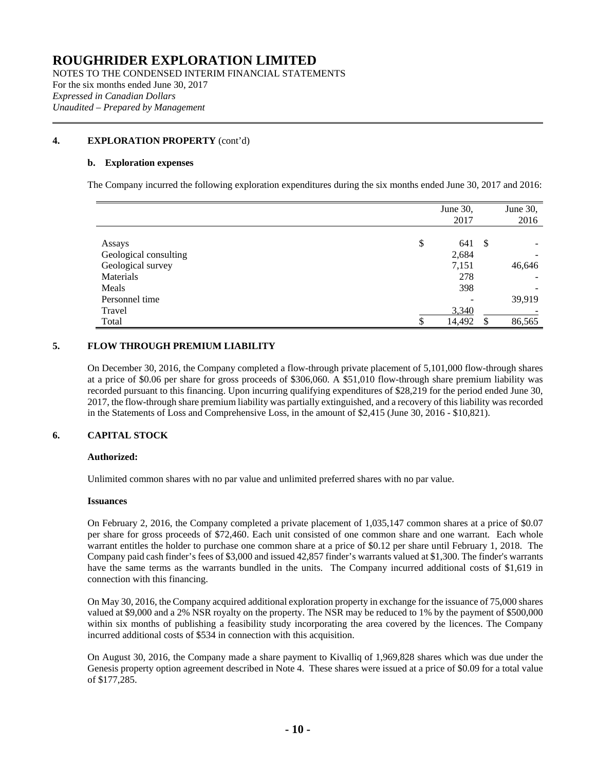NOTES TO THE CONDENSED INTERIM FINANCIAL STATEMENTS For the six months ended June 30, 2017 *Expressed in Canadian Dollars Unaudited – Prepared by Management*

#### **[4.](#page-7-0) EXPLORATION PROPERTY** (cont'd)

#### **b. Exploration expenses**

The Company incurred the following exploration expenditures during the six months ended June 30, 2017 and 2016:

|                       | June 30,  |    | June 30, |
|-----------------------|-----------|----|----------|
|                       | 2017      |    | 2016     |
|                       |           |    |          |
| Assays                | \$<br>641 | -S |          |
| Geological consulting | 2,684     |    |          |
| Geological survey     | 7,151     |    | 46,646   |
| Materials             | 278       |    |          |
| Meals                 | 398       |    |          |
| Personnel time        |           |    | 39,919   |
| Travel                | 3,340     |    |          |
| Total                 | 14,492    |    | 86,565   |

#### **5. FLOW THROUGH PREMIUM LIABILITY**

On December 30, 2016, the Company completed a flow-through private placement of 5,101,000 flow-through shares at a price of \$0.06 per share for gross proceeds of \$306,060. A \$51,010 flow-through share premium liability was recorded pursuant to this financing. Upon incurring qualifying expenditures of \$28,219 for the period ended June 30, 2017, the flow-through share premium liability was partially extinguished, and a recovery of this liability was recorded in the Statements of Loss and Comprehensive Loss, in the amount of \$2,415 (June 30, 2016 - \$10,821).

#### **6. CAPITAL STOCK**

#### **Authorized:**

Unlimited common shares with no par value and unlimited preferred shares with no par value.

#### **Issuances**

On February 2, 2016, the Company completed a private placement of 1,035,147 common shares at a price of \$0.07 per share for gross proceeds of \$72,460. Each unit consisted of one common share and one warrant. Each whole warrant entitles the holder to purchase one common share at a price of \$0.12 per share until February 1, 2018. The Company paid cash finder's fees of \$3,000 and issued 42,857 finder's warrants valued at \$1,300. The finder's warrants have the same terms as the warrants bundled in the units. The Company incurred additional costs of \$1,619 in connection with this financing.

On May 30, 2016, the Company acquired additional exploration property in exchange for the issuance of 75,000 shares valued at \$9,000 and a 2% NSR royalty on the property. The NSR may be reduced to 1% by the payment of \$500,000 within six months of publishing a feasibility study incorporating the area covered by the licences. The Company incurred additional costs of \$534 in connection with this acquisition.

On August 30, 2016, the Company made a share payment to Kivalliq of 1,969,828 shares which was due under the Genesis property option agreement described in Note 4. These shares were issued at a price of \$0.09 for a total value of \$177,285.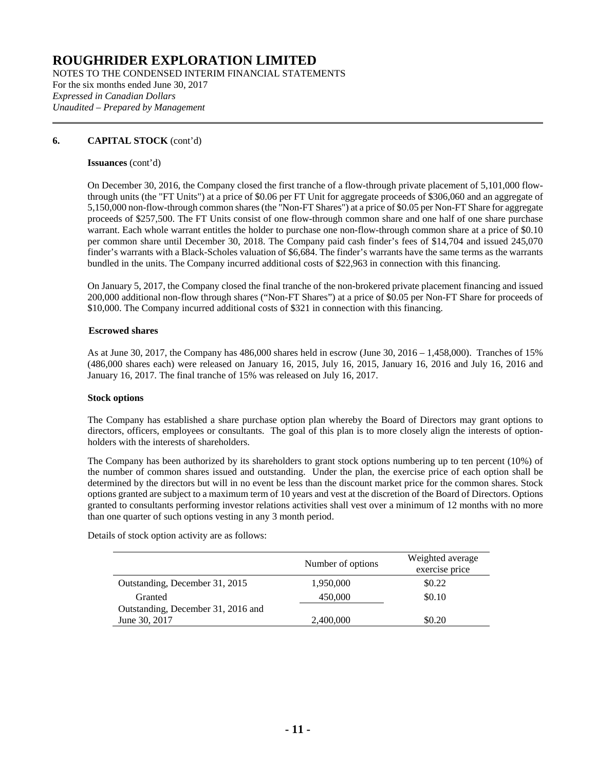NOTES TO THE CONDENSED INTERIM FINANCIAL STATEMENTS For the six months ended June 30, 2017 *Expressed in Canadian Dollars Unaudited – Prepared by Management*

#### **6. CAPITAL STOCK** (cont'd)

#### **Issuances** (cont'd)

On December 30, 2016, the Company closed the first tranche of a flow-through private placement of 5,101,000 flowthrough units (the "FT Units") at a price of \$0.06 per FT Unit for aggregate proceeds of \$306,060 and an aggregate of 5,150,000 non-flow-through common shares (the "Non-FT Shares") at a price of \$0.05 per Non-FT Share for aggregate proceeds of \$257,500. The FT Units consist of one flow-through common share and one half of one share purchase warrant. Each whole warrant entitles the holder to purchase one non-flow-through common share at a price of \$0.10 per common share until December 30, 2018. The Company paid cash finder's fees of \$14,704 and issued 245,070 finder's warrants with a Black-Scholes valuation of \$6,684. The finder's warrants have the same terms as the warrants bundled in the units. The Company incurred additional costs of \$22,963 in connection with this financing.

On January 5, 2017, the Company closed the final tranche of the non-brokered private placement financing and issued 200,000 additional non-flow through shares ("Non-FT Shares") at a price of \$0.05 per Non-FT Share for proceeds of \$10,000. The Company incurred additional costs of \$321 in connection with this financing.

#### **Escrowed shares**

As at June 30, 2017, the Company has 486,000 shares held in escrow (June 30, 2016 – 1,458,000). Tranches of 15% (486,000 shares each) were released on January 16, 2015, July 16, 2015, January 16, 2016 and July 16, 2016 and January 16, 2017. The final tranche of 15% was released on July 16, 2017.

#### **Stock options**

The Company has established a share purchase option plan whereby the Board of Directors may grant options to directors, officers, employees or consultants. The goal of this plan is to more closely align the interests of optionholders with the interests of shareholders.

The Company has been authorized by its shareholders to grant stock options numbering up to ten percent (10%) of the number of common shares issued and outstanding. Under the plan, the exercise price of each option shall be determined by the directors but will in no event be less than the discount market price for the common shares. Stock options granted are subject to a maximum term of 10 years and vest at the discretion of the Board of Directors. Options granted to consultants performing investor relations activities shall vest over a minimum of 12 months with no more than one quarter of such options vesting in any 3 month period.

Details of stock option activity are as follows:

|                                    | Number of options | Weighted average<br>exercise price |
|------------------------------------|-------------------|------------------------------------|
| Outstanding, December 31, 2015     | 1,950,000         | \$0.22                             |
| Granted                            | 450,000           | \$0.10                             |
| Outstanding, December 31, 2016 and |                   |                                    |
| June 30, 2017                      | 2,400,000         | \$0.20                             |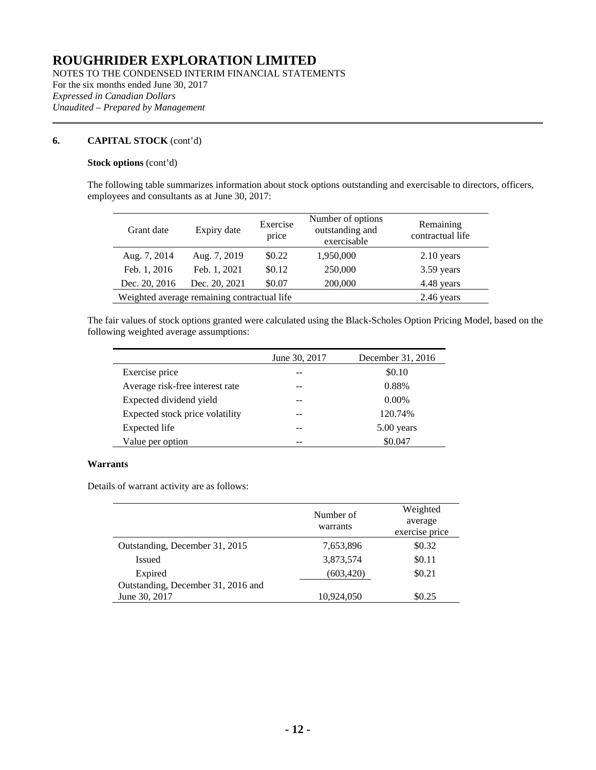NOTES TO THE CONDENSED INTERIM FINANCIAL STATEMENTS For the six months ended June 30, 2017 *Expressed in Canadian Dollars Unaudited – Prepared by Management*

#### **6. CAPITAL STOCK** (cont'd)

#### **Stock options** (cont'd)

The following table summarizes information about stock options outstanding and exercisable to directors, officers, employees and consultants as at June 30, 2017:

| Grant date    | Expiry date                                 | Exercise<br>price | Number of options<br>outstanding and<br>exercisable | Remaining<br>contractual life |
|---------------|---------------------------------------------|-------------------|-----------------------------------------------------|-------------------------------|
| Aug. 7, 2014  | Aug. 7, 2019                                | \$0.22            | 1,950,000                                           | $2.10$ years                  |
| Feb. 1, 2016  | Feb. 1, 2021                                | \$0.12            | 250,000                                             | 3.59 years                    |
| Dec. 20, 2016 | Dec. 20, 2021                               | \$0.07            | 200,000                                             | 4.48 years                    |
|               | Weighted average remaining contractual life |                   |                                                     | 2.46 years                    |

The fair values of stock options granted were calculated using the Black-Scholes Option Pricing Model, based on the following weighted average assumptions:

|                                 | June 30, 2017 | December 31, 2016 |
|---------------------------------|---------------|-------------------|
| Exercise price                  |               | \$0.10            |
| Average risk-free interest rate |               | 0.88%             |
| Expected dividend yield         |               | $0.00\%$          |
| Expected stock price volatility |               | 120.74%           |
| Expected life                   |               | 5.00 years        |
| Value per option                |               | \$0.047           |

#### **Warrants**

Details of warrant activity are as follows:

|                                    | Number of<br>warrants | Weighted<br>average<br>exercise price |
|------------------------------------|-----------------------|---------------------------------------|
| Outstanding, December 31, 2015     | 7,653,896             | \$0.32                                |
| <b>Issued</b>                      | 3,873,574             | \$0.11                                |
| Expired                            | (603, 420)            | \$0.21                                |
| Outstanding, December 31, 2016 and |                       |                                       |
| June 30, 2017                      | 10,924,050            | \$0.25                                |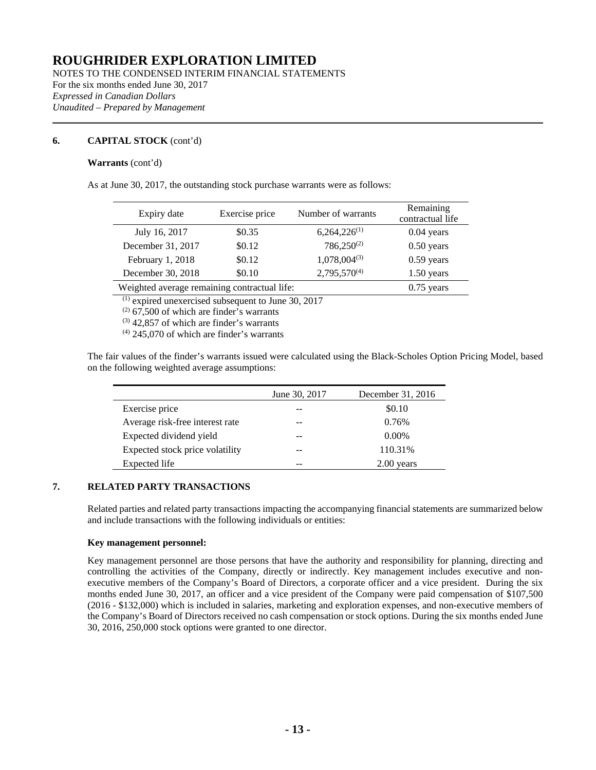NOTES TO THE CONDENSED INTERIM FINANCIAL STATEMENTS For the six months ended June 30, 2017 *Expressed in Canadian Dollars Unaudited – Prepared by Management*

#### **6. CAPITAL STOCK** (cont'd)

#### **Warrants** (cont'd)

As at June 30, 2017, the outstanding stock purchase warrants were as follows:

| Expiry date                                  | Exercise price | Number of warrants | Remaining<br>contractual life |
|----------------------------------------------|----------------|--------------------|-------------------------------|
| July 16, 2017                                | \$0.35         | $6,264,226^{(1)}$  | $0.04$ years                  |
| December 31, 2017                            | \$0.12         | $786,250^{(2)}$    | $0.50$ years                  |
| February 1, 2018                             | \$0.12         | $1,078,004^{(3)}$  | $0.59$ years                  |
| December 30, 2018                            | \$0.10         | $2,795,570^{(4)}$  | $1.50$ years                  |
| Weighted average remaining contractual life: |                |                    | $0.75$ years                  |

 $(1)$  expired unexercised subsequent to June 30, 2017

 $(2)$  67,500 of which are finder's warrants

 $(3)$  42,857 of which are finder's warrants

 $(4)$  245,070 of which are finder's warrants

The fair values of the finder's warrants issued were calculated using the Black-Scholes Option Pricing Model, based on the following weighted average assumptions:

|                                 | June 30, 2017 | December 31, 2016 |
|---------------------------------|---------------|-------------------|
| Exercise price                  |               | \$0.10            |
| Average risk-free interest rate |               | 0.76%             |
| Expected dividend yield         |               | $0.00\%$          |
| Expected stock price volatility |               | 110.31%           |
| Expected life                   |               | 2.00 years        |

#### **7. RELATED PARTY TRANSACTIONS**

Related parties and related party transactions impacting the accompanying financial statements are summarized below and include transactions with the following individuals or entities:

#### **Key management personnel:**

Key management personnel are those persons that have the authority and responsibility for planning, directing and controlling the activities of the Company, directly or indirectly. Key management includes executive and nonexecutive members of the Company's Board of Directors, a corporate officer and a vice president. During the six months ended June 30, 2017, an officer and a vice president of the Company were paid compensation of \$107,500 (2016 - \$132,000) which is included in salaries, marketing and exploration expenses, and non-executive members of the Company's Board of Directors received no cash compensation or stock options. During the six months ended June 30, 2016, 250,000 stock options were granted to one director.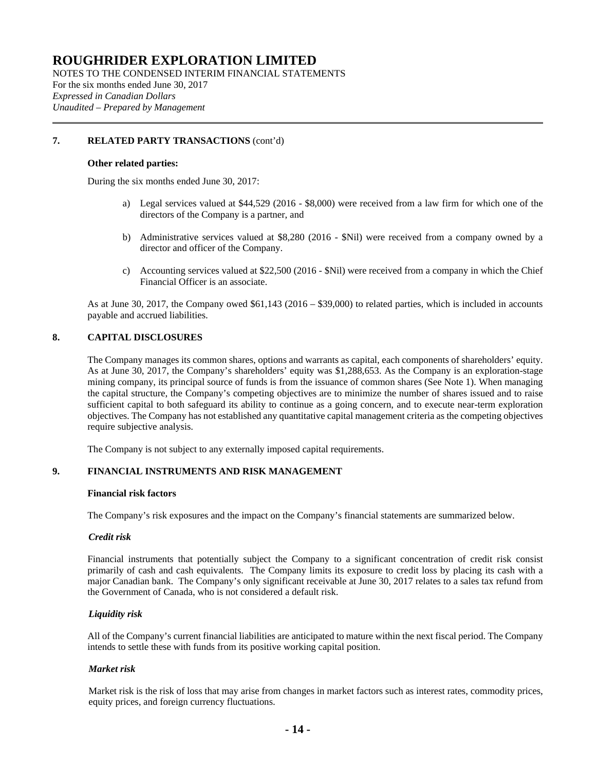NOTES TO THE CONDENSED INTERIM FINANCIAL STATEMENTS For the six months ended June 30, 2017 *Expressed in Canadian Dollars Unaudited – Prepared by Management*

#### **7. RELATED PARTY TRANSACTIONS** (cont'd)

#### **Other related parties:**

During the six months ended June 30, 2017:

- a) Legal services valued at \$44,529 (2016 \$8,000) were received from a law firm for which one of the directors of the Company is a partner, and
- b) Administrative services valued at \$8,280 (2016 \$Nil) were received from a company owned by a director and officer of the Company.
- c) Accounting services valued at \$22,500 (2016 \$Nil) were received from a company in which the Chief Financial Officer is an associate.

As at June 30, 2017, the Company owed \$61,143 (2016 – \$39,000) to related parties, which is included in accounts payable and accrued liabilities.

#### **8. CAPITAL DISCLOSURES**

The Company manages its common shares, options and warrants as capital, each components of shareholders' equity. As at June 30, 2017, the Company's shareholders' equity was \$1,288,653. As the Company is an exploration-stage mining company, its principal source of funds is from the issuance of common shares (See Note 1). When managing the capital structure, the Company's competing objectives are to minimize the number of shares issued and to raise sufficient capital to both safeguard its ability to continue as a going concern, and to execute near-term exploration objectives. The Company has not established any quantitative capital management criteria as the competing objectives require subjective analysis.

The Company is not subject to any externally imposed capital requirements.

#### **9. FINANCIAL INSTRUMENTS AND RISK MANAGEMENT**

#### **Financial risk factors**

The Company's risk exposures and the impact on the Company's financial statements are summarized below.

#### *Credit risk*

Financial instruments that potentially subject the Company to a significant concentration of credit risk consist primarily of cash and cash equivalents. The Company limits its exposure to credit loss by placing its cash with a major Canadian bank. The Company's only significant receivable at June 30, 2017 relates to a sales tax refund from the Government of Canada, who is not considered a default risk.

#### *Liquidity risk*

All of the Company's current financial liabilities are anticipated to mature within the next fiscal period. The Company intends to settle these with funds from its positive working capital position.

#### *Market risk*

Market risk is the risk of loss that may arise from changes in market factors such as interest rates, commodity prices, equity prices, and foreign currency fluctuations.